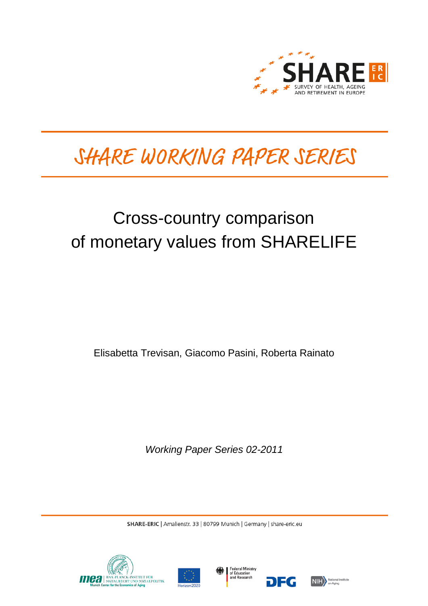

# SHARE WORKING PAPER SERIES

## Cross-country comparison of monetary values from SHARELIFE

Elisabetta Trevisan, Giacomo Pasini, Roberta Rainato

*Working Paper Series 02-2011*

SHARE-ERIC | Amalienstr. 33 | 80799 Munich | Germany | share-eric.eu







DEG

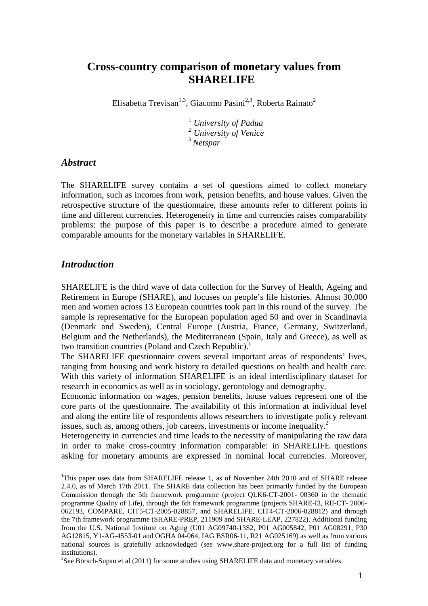## **Cross-country comparison of monetary values from SHARELIFE**

Elisabetta Trevisan<sup>1,3</sup>, Giacomo Pasini<sup>2,3</sup>, Roberta Rainato<sup>2</sup>

1  *University of Padua 2 University of Venice <sup>3</sup>Netspar* 

#### *Abstract*

The SHARELIFE survey contains a set of questions aimed to collect monetary information, such as incomes from work, pension benefits, and house values. Given the retrospective structure of the questionnaire, these amounts refer to different points in time and different currencies. Heterogeneity in time and currencies raises comparability problems: the purpose of this paper is to describe a procedure aimed to generate comparable amounts for the monetary variables in SHARELIFE.

#### *Introduction*

 $\overline{a}$ 

SHARELIFE is the third wave of data collection for the Survey of Health, Ageing and Retirement in Europe (SHARE), and focuses on people's life histories. Almost 30,000 men and women across 13 European countries took part in this round of the survey. The sample is representative for the European population aged 50 and over in Scandinavia (Denmark and Sweden), Central Europe (Austria, France, Germany, Switzerland, Belgium and the Netherlands), the Mediterranean (Spain, Italy and Greece), as well as two transition countries (Poland and Czech Republic).

The SHARELIFE questionnaire covers several important areas of respondents' lives, ranging from housing and work history to detailed questions on health and health care. With this variety of information SHARELIFE is an ideal interdisciplinary dataset for research in economics as well as in sociology, gerontology and demography.

Economic information on wages, pension benefits, house values represent one of the core parts of the questionnaire. The availability of this information at individual level and along the entire life of respondents allows researchers to investigate policy relevant issues, such as, among others, job careers, investments or income inequality.<sup>2</sup>

Heterogeneity in currencies and time leads to the necessity of manipulating the raw data in order to make cross-country information comparable: in SHARELIFE questions asking for monetary amounts are expressed in nominal local currencies. Moreover,

<sup>&</sup>lt;sup>1</sup>This paper uses data from SHARELIFE release 1, as of November 24th 2010 and of SHARE release 2.4.0, as of March 17th 2011. The SHARE data collection has been primarily funded by the European Commission through the 5th framework programme (project QLK6-CT-2001- 00360 in the thematic programme Quality of Life), through the 6th framework programme (projects SHARE-I3, RII-CT- 2006- 062193, COMPARE, CIT5-CT-2005-028857, and SHARELIFE, CIT4-CT-2006-028812) and through the 7th framework programme (SHARE-PREP, 211909 and SHARE-LEAP, 227822). Additional funding from the U.S. National Institute on Aging (U01 AG09740-13S2, P01 AG005842, P01 AG08291, P30 AG12815, Y1-AG-4553-01 and OGHA 04-064, IAG BSR06-11, R21 AG025169) as well as from various national sources is gratefully acknowledged (see www.share-project.org for a full list of funding institutions).

<sup>&</sup>lt;sup>2</sup>See Börsch-Supan et al  $(2011)$  for some studies using SHARELIFE data and monetary variables.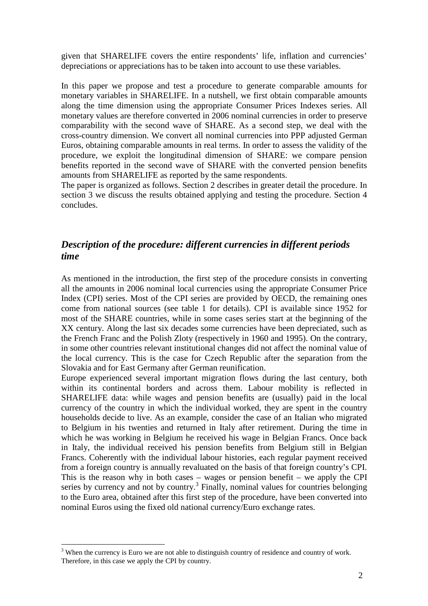given that SHARELIFE covers the entire respondents' life, inflation and currencies' depreciations or appreciations has to be taken into account to use these variables.

In this paper we propose and test a procedure to generate comparable amounts for monetary variables in SHARELIFE. In a nutshell, we first obtain comparable amounts along the time dimension using the appropriate Consumer Prices Indexes series. All monetary values are therefore converted in 2006 nominal currencies in order to preserve comparability with the second wave of SHARE. As a second step, we deal with the cross-country dimension. We convert all nominal currencies into PPP adjusted German Euros, obtaining comparable amounts in real terms. In order to assess the validity of the procedure, we exploit the longitudinal dimension of SHARE: we compare pension benefits reported in the second wave of SHARE with the converted pension benefits amounts from SHARELIFE as reported by the same respondents.

The paper is organized as follows. Section 2 describes in greater detail the procedure. In section 3 we discuss the results obtained applying and testing the procedure. Section 4 concludes.

## *Description of the procedure: different currencies in different periods time*

As mentioned in the introduction, the first step of the procedure consists in converting all the amounts in 2006 nominal local currencies using the appropriate Consumer Price Index (CPI) series. Most of the CPI series are provided by OECD, the remaining ones come from national sources (see table 1 for details). CPI is available since 1952 for most of the SHARE countries, while in some cases series start at the beginning of the XX century. Along the last six decades some currencies have been depreciated, such as the French Franc and the Polish Zloty (respectively in 1960 and 1995). On the contrary, in some other countries relevant institutional changes did not affect the nominal value of the local currency. This is the case for Czech Republic after the separation from the Slovakia and for East Germany after German reunification.

Europe experienced several important migration flows during the last century, both within its continental borders and across them. Labour mobility is reflected in SHARELIFE data: while wages and pension benefits are (usually) paid in the local currency of the country in which the individual worked, they are spent in the country households decide to live. As an example, consider the case of an Italian who migrated to Belgium in his twenties and returned in Italy after retirement. During the time in which he was working in Belgium he received his wage in Belgian Francs. Once back in Italy, the individual received his pension benefits from Belgium still in Belgian Francs. Coherently with the individual labour histories, each regular payment received from a foreign country is annually revaluated on the basis of that foreign country's CPI. This is the reason why in both cases – wages or pension benefit – we apply the CPI series by currency and not by country.<sup>3</sup> Finally, nominal values for countries belonging to the Euro area, obtained after this first step of the procedure, have been converted into nominal Euros using the fixed old national currency/Euro exchange rates.

 $\overline{a}$ 

 $3$  When the currency is Euro we are not able to distinguish country of residence and country of work. Therefore, in this case we apply the CPI by country.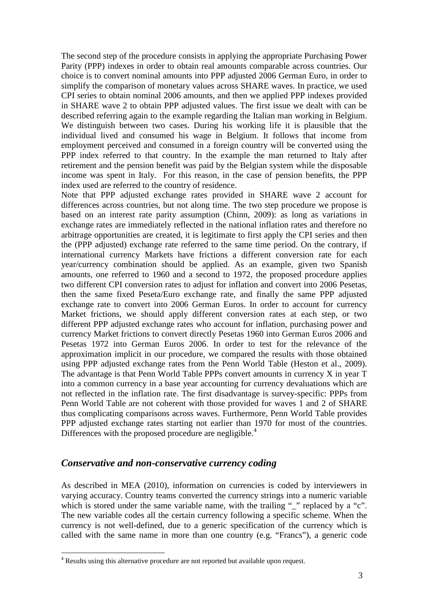The second step of the procedure consists in applying the appropriate Purchasing Power Parity (PPP) indexes in order to obtain real amounts comparable across countries. Our choice is to convert nominal amounts into PPP adjusted 2006 German Euro, in order to simplify the comparison of monetary values across SHARE waves. In practice, we used CPI series to obtain nominal 2006 amounts, and then we applied PPP indexes provided in SHARE wave 2 to obtain PPP adjusted values. The first issue we dealt with can be described referring again to the example regarding the Italian man working in Belgium. We distinguish between two cases. During his working life it is plausible that the individual lived and consumed his wage in Belgium. It follows that income from employment perceived and consumed in a foreign country will be converted using the PPP index referred to that country. In the example the man returned to Italy after retirement and the pension benefit was paid by the Belgian system while the disposable income was spent in Italy. For this reason, in the case of pension benefits, the PPP index used are referred to the country of residence.

Note that PPP adjusted exchange rates provided in SHARE wave 2 account for differences across countries, but not along time. The two step procedure we propose is based on an interest rate parity assumption (Chinn, 2009): as long as variations in exchange rates are immediately reflected in the national inflation rates and therefore no arbitrage opportunities are created, it is legitimate to first apply the CPI series and then the (PPP adjusted) exchange rate referred to the same time period. On the contrary, if international currency Markets have frictions a different conversion rate for each year/currency combination should be applied. As an example, given two Spanish amounts, one referred to 1960 and a second to 1972, the proposed procedure applies two different CPI conversion rates to adjust for inflation and convert into 2006 Pesetas, then the same fixed Peseta/Euro exchange rate, and finally the same PPP adjusted exchange rate to convert into 2006 German Euros. In order to account for currency Market frictions, we should apply different conversion rates at each step, or two different PPP adjusted exchange rates who account for inflation, purchasing power and currency Market frictions to convert directly Pesetas 1960 into German Euros 2006 and Pesetas 1972 into German Euros 2006. In order to test for the relevance of the approximation implicit in our procedure, we compared the results with those obtained using PPP adjusted exchange rates from the Penn World Table (Heston et al., 2009). The advantage is that Penn World Table PPPs convert amounts in currency X in year T into a common currency in a base year accounting for currency devaluations which are not reflected in the inflation rate. The first disadvantage is survey-specific: PPPs from Penn World Table are not coherent with those provided for waves 1 and 2 of SHARE thus complicating comparisons across waves. Furthermore, Penn World Table provides PPP adjusted exchange rates starting not earlier than 1970 for most of the countries. Differences with the proposed procedure are negligible.<sup>4</sup>

#### *Conservative and non-conservative currency coding*

As described in MEA (2010), information on currencies is coded by interviewers in varying accuracy. Country teams converted the currency strings into a numeric variable which is stored under the same variable name, with the trailing "\_" replaced by a "c". The new variable codes all the certain currency following a specific scheme. When the currency is not well-defined, due to a generic specification of the currency which is called with the same name in more than one country (e.g. "Francs"), a generic code

 4 Results using this alternative procedure are not reported but available upon request.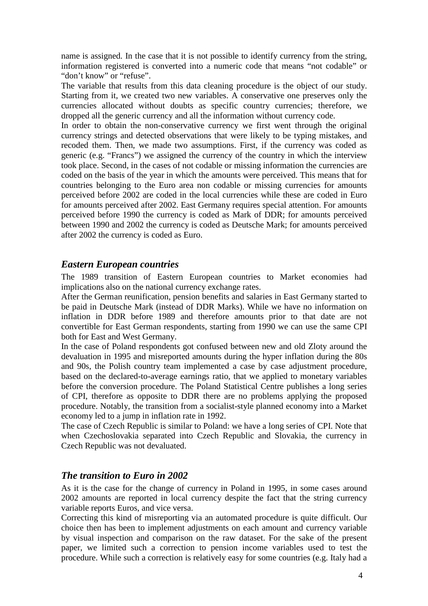name is assigned. In the case that it is not possible to identify currency from the string, information registered is converted into a numeric code that means "not codable" or "don't know" or "refuse".

The variable that results from this data cleaning procedure is the object of our study. Starting from it, we created two new variables. A conservative one preserves only the currencies allocated without doubts as specific country currencies; therefore, we dropped all the generic currency and all the information without currency code.

In order to obtain the non-conservative currency we first went through the original currency strings and detected observations that were likely to be typing mistakes, and recoded them. Then, we made two assumptions. First, if the currency was coded as generic (e.g. "Francs") we assigned the currency of the country in which the interview took place. Second, in the cases of not codable or missing information the currencies are coded on the basis of the year in which the amounts were perceived. This means that for countries belonging to the Euro area non codable or missing currencies for amounts perceived before 2002 are coded in the local currencies while these are coded in Euro for amounts perceived after 2002. East Germany requires special attention. For amounts perceived before 1990 the currency is coded as Mark of DDR; for amounts perceived between 1990 and 2002 the currency is coded as Deutsche Mark; for amounts perceived after 2002 the currency is coded as Euro.

## *Eastern European countries*

The 1989 transition of Eastern European countries to Market economies had implications also on the national currency exchange rates.

After the German reunification, pension benefits and salaries in East Germany started to be paid in Deutsche Mark (instead of DDR Marks). While we have no information on inflation in DDR before 1989 and therefore amounts prior to that date are not convertible for East German respondents, starting from 1990 we can use the same CPI both for East and West Germany.

In the case of Poland respondents got confused between new and old Zloty around the devaluation in 1995 and misreported amounts during the hyper inflation during the 80s and 90s, the Polish country team implemented a case by case adjustment procedure, based on the declared-to-average earnings ratio, that we applied to monetary variables before the conversion procedure. The Poland Statistical Centre publishes a long series of CPI, therefore as opposite to DDR there are no problems applying the proposed procedure. Notably, the transition from a socialist-style planned economy into a Market economy led to a jump in inflation rate in 1992.

The case of Czech Republic is similar to Poland: we have a long series of CPI. Note that when Czechoslovakia separated into Czech Republic and Slovakia, the currency in Czech Republic was not devaluated.

## *The transition to Euro in 2002*

As it is the case for the change of currency in Poland in 1995, in some cases around 2002 amounts are reported in local currency despite the fact that the string currency variable reports Euros, and vice versa.

Correcting this kind of misreporting via an automated procedure is quite difficult. Our choice then has been to implement adjustments on each amount and currency variable by visual inspection and comparison on the raw dataset. For the sake of the present paper, we limited such a correction to pension income variables used to test the procedure. While such a correction is relatively easy for some countries (e.g. Italy had a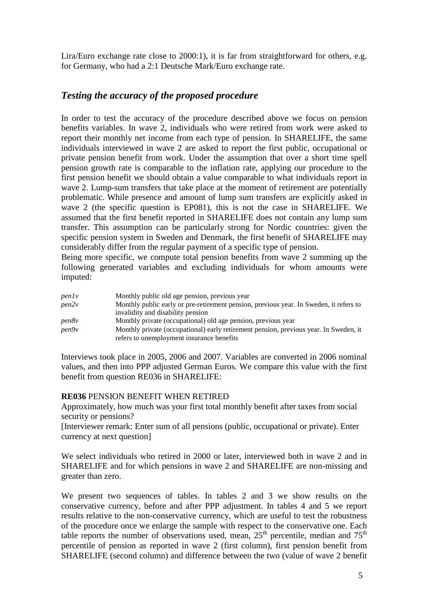Lira/Euro exchange rate close to 2000:1), it is far from straightforward for others, e.g. for Germany, who had a 2:1 Deutsche Mark/Euro exchange rate.

## *Testing the accuracy of the proposed procedure*

In order to test the accuracy of the procedure described above we focus on pension benefits variables. In wave 2, individuals who were retired from work were asked to report their monthly net income from each type of pension. In SHARELIFE, the same individuals interviewed in wave 2 are asked to report the first public, occupational or private pension benefit from work. Under the assumption that over a short time spell pension growth rate is comparable to the inflation rate, applying our procedure to the first pension benefit we should obtain a value comparable to what individuals report in wave 2. Lump-sum transfers that take place at the moment of retirement are potentially problematic. While presence and amount of lump sum transfers are explicitly asked in wave 2 (the specific question is EP081), this is not the case in SHARELIFE. We assumed that the first benefit reported in SHARELIFE does not contain any lump sum transfer. This assumption can be particularly strong for Nordic countries: given the specific pension system in Sweden and Denmark, the first benefit of SHARELIFE may considerably differ from the regular payment of a specific type of pension.

Being more specific, we compute total pension benefits from wave 2 summing up the following generated variables and excluding individuals for whom amounts were imputed:

| penly | Monthly public old age pension, previous year                                          |
|-------|----------------------------------------------------------------------------------------|
| pen2v | Monthly public early or pre-retirement pension, previous year. In Sweden, it refers to |
|       | invalidity and disability pension                                                      |
| pen8v | Monthly private (occupational) old age pension, previous year                          |
| pen9v | Monthly private (occupational) early retirement pension, previous year. In Sweden, it  |
|       | refers to unemployment insurance benefits                                              |

Interviews took place in 2005, 2006 and 2007. Variables are converted in 2006 nominal values, and then into PPP adjusted German Euros. We compare this value with the first benefit from question RE036 in SHARELIFE:

#### **RE036** PENSION BENEFIT WHEN RETIRED

Approximately, how much was your first total monthly benefit after taxes from social security or pensions?

[Interviewer remark: Enter sum of all pensions (public, occupational or private). Enter currency at next question]

We select individuals who retired in 2000 or later, interviewed both in wave 2 and in SHARELIFE and for which pensions in wave 2 and SHARELIFE are non-missing and greater than zero.

We present two sequences of tables. In tables 2 and 3 we show results on the conservative currency, before and after PPP adjustment. In tables 4 and 5 we report results relative to the non-conservative currency, which are useful to test the robustness of the procedure once we enlarge the sample with respect to the conservative one. Each table reports the number of observations used, mean,  $25<sup>th</sup>$  percentile, median and  $75<sup>th</sup>$ percentile of pension as reported in wave 2 (first column), first pension benefit from SHARELIFE (second column) and difference between the two (value of wave 2 benefit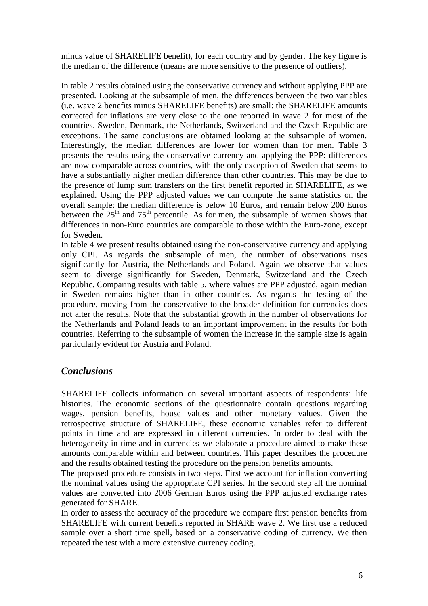minus value of SHARELIFE benefit), for each country and by gender. The key figure is the median of the difference (means are more sensitive to the presence of outliers).

In table 2 results obtained using the conservative currency and without applying PPP are presented. Looking at the subsample of men, the differences between the two variables (i.e. wave 2 benefits minus SHARELIFE benefits) are small: the SHARELIFE amounts corrected for inflations are very close to the one reported in wave 2 for most of the countries. Sweden, Denmark, the Netherlands, Switzerland and the Czech Republic are exceptions. The same conclusions are obtained looking at the subsample of women. Interestingly, the median differences are lower for women than for men. Table 3 presents the results using the conservative currency and applying the PPP: differences are now comparable across countries, with the only exception of Sweden that seems to have a substantially higher median difference than other countries. This may be due to the presence of lump sum transfers on the first benefit reported in SHARELIFE, as we explained. Using the PPP adjusted values we can compute the same statistics on the overall sample: the median difference is below 10 Euros, and remain below 200 Euros between the  $25<sup>th</sup>$  and  $75<sup>th</sup>$  percentile. As for men, the subsample of women shows that differences in non-Euro countries are comparable to those within the Euro-zone, except for Sweden.

In table 4 we present results obtained using the non-conservative currency and applying only CPI. As regards the subsample of men, the number of observations rises significantly for Austria, the Netherlands and Poland. Again we observe that values seem to diverge significantly for Sweden, Denmark, Switzerland and the Czech Republic. Comparing results with table 5, where values are PPP adjusted, again median in Sweden remains higher than in other countries. As regards the testing of the procedure, moving from the conservative to the broader definition for currencies does not alter the results. Note that the substantial growth in the number of observations for the Netherlands and Poland leads to an important improvement in the results for both countries. Referring to the subsample of women the increase in the sample size is again particularly evident for Austria and Poland.

## *Conclusions*

SHARELIFE collects information on several important aspects of respondents' life histories. The economic sections of the questionnaire contain questions regarding wages, pension benefits, house values and other monetary values. Given the retrospective structure of SHARELIFE, these economic variables refer to different points in time and are expressed in different currencies. In order to deal with the heterogeneity in time and in currencies we elaborate a procedure aimed to make these amounts comparable within and between countries. This paper describes the procedure and the results obtained testing the procedure on the pension benefits amounts.

The proposed procedure consists in two steps. First we account for inflation converting the nominal values using the appropriate CPI series. In the second step all the nominal values are converted into 2006 German Euros using the PPP adjusted exchange rates generated for SHARE.

In order to assess the accuracy of the procedure we compare first pension benefits from SHARELIFE with current benefits reported in SHARE wave 2. We first use a reduced sample over a short time spell, based on a conservative coding of currency. We then repeated the test with a more extensive currency coding.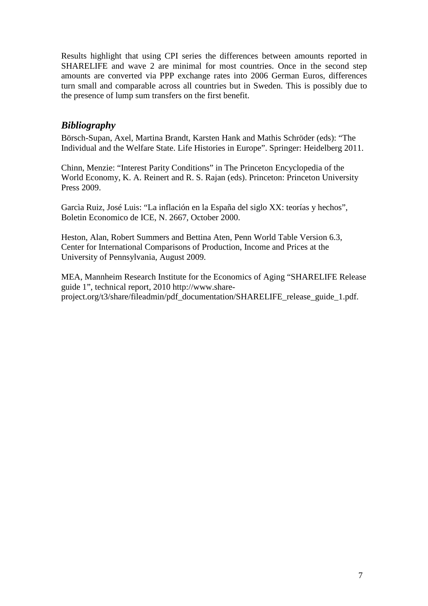Results highlight that using CPI series the differences between amounts reported in SHARELIFE and wave 2 are minimal for most countries. Once in the second step amounts are converted via PPP exchange rates into 2006 German Euros, differences turn small and comparable across all countries but in Sweden. This is possibly due to the presence of lump sum transfers on the first benefit.

## *Bibliography*

Börsch-Supan, Axel, Martina Brandt, Karsten Hank and Mathis Schröder (eds): "The Individual and the Welfare State. Life Histories in Europe". Springer: Heidelberg 2011.

Chinn, Menzie: "Interest Parity Conditions" in The Princeton Encyclopedia of the World Economy, K. A. Reinert and R. S. Rajan (eds). Princeton: Princeton University Press 2009.

Garcìa Ruiz, José Luis: "La inflación en la España del siglo XX: teorías y hechos", Boletin Economico de ICE, N. 2667, October 2000.

Heston, Alan, Robert Summers and Bettina Aten, Penn World Table Version 6.3, Center for International Comparisons of Production, Income and Prices at the University of Pennsylvania, August 2009.

MEA, Mannheim Research Institute for the Economics of Aging "SHARELIFE Release guide 1", technical report, 2010 http://www.shareproject.org/t3/share/fileadmin/pdf\_documentation/SHARELIFE\_release\_guide\_1.pdf.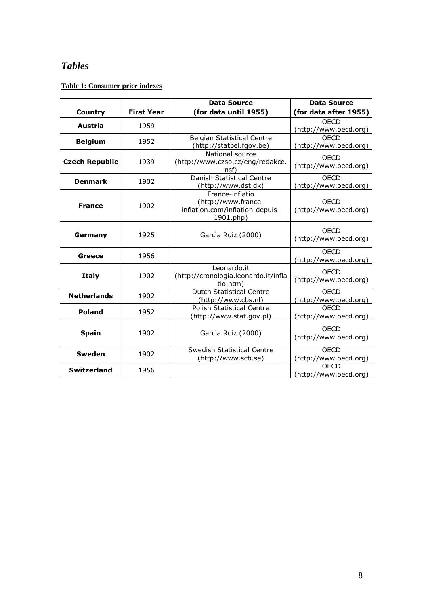## *Tables*

#### **Table 1: Consumer price indexes**

|                       |                   | <b>Data Source</b>                                                                     | <b>Data Source</b>                   |
|-----------------------|-------------------|----------------------------------------------------------------------------------------|--------------------------------------|
| Country               | <b>First Year</b> | (for data until 1955)                                                                  | (for data after 1955)                |
| Austria               | 1959              |                                                                                        | <b>OECD</b><br>(http://www.oecd.org) |
| <b>Belgium</b>        | 1952              | <b>Belgian Statistical Centre</b><br>(http://statbel.fgov.be)                          | OFCD<br>(http://www.oecd.org)        |
| <b>Czech Republic</b> | 1939              | National source<br>(http://www.czso.cz/eng/redakce.<br>nsf)                            | <b>OECD</b><br>(http://www.oecd.org) |
| <b>Denmark</b>        | 1902              | Danish Statistical Centre<br>(http://www.dst.dk)                                       | OFCD<br>(http://www.oecd.org)        |
| <b>France</b>         | 1902              | France-inflatio<br>(http://www.france-<br>inflation.com/inflation-depuis-<br>1901.php) | OECD<br>(http://www.oecd.org)        |
| Germany               | 1925              | Garcia Ruiz (2000)                                                                     | OECD<br>(http://www.oecd.org)        |
| Greece                | 1956              |                                                                                        | <b>OECD</b><br>(http://www.oecd.org) |
| <b>Italy</b>          | 1902              | Leonardo.it<br>(http://cronologia.leonardo.it/infla<br>tio.htm)                        | <b>OECD</b><br>(http://www.oecd.org) |
| <b>Netherlands</b>    | 1902              | <b>Dutch Statistical Centre</b><br>(http://www.cbs.nl)                                 | <b>OECD</b><br>(http://www.oecd.org) |
| <b>Poland</b>         | 1952              | <b>Polish Statistical Centre</b><br>(http://www.stat.gov.pl)                           | OFCD<br>(http://www.oecd.org)        |
| <b>Spain</b>          | 1902              | Garcia Ruiz (2000)                                                                     | <b>OECD</b><br>(http://www.oecd.org) |
| <b>Sweden</b>         | 1902              | Swedish Statistical Centre<br>(http://www.scb.se)                                      | <b>OECD</b><br>(http://www.oecd.org) |
| <b>Switzerland</b>    | 1956              |                                                                                        | <b>OECD</b><br>(http://www.oecd.org) |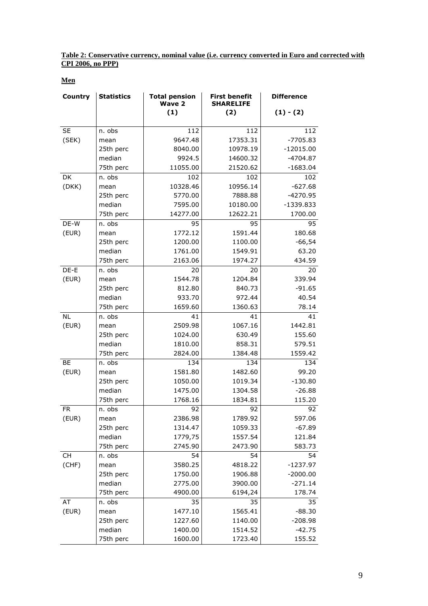**Table 2: Conservative currency, nominal value (i.e. currency converted in Euro and corrected with CPI 2006, no PPP)**

**Men**

| Country   | <b>Statistics</b> | <b>Total pension</b><br><b>Wave 2</b><br>(1) | <b>First benefit</b><br><b>SHARELIFE</b> | <b>Difference</b> |
|-----------|-------------------|----------------------------------------------|------------------------------------------|-------------------|
|           |                   |                                              | (2)                                      | $(1) - (2)$       |
| <b>SE</b> | n. obs            | 112                                          | 112                                      | 112               |
| (SEK)     | mean              | 9647.48                                      | 17353.31                                 | $-7705.83$        |
|           | 25th perc         | 8040.00                                      | 10978.19                                 | $-12015.00$       |
|           | median            | 9924.5                                       | 14600.32                                 | $-4704.87$        |
|           | 75th perc         | 11055.00                                     | 21520.62                                 | $-1683.04$        |
| DK        | n. obs            | 102                                          | 102                                      | 102               |
| (DKK)     | mean              | 10328.46                                     | 10956.14                                 | $-627.68$         |
|           | 25th perc         | 5770.00                                      | 7888.88                                  | $-4270.95$        |
|           | median            | 7595.00                                      | 10180.00                                 | $-1339.833$       |
|           | 75th perc         | 14277.00                                     | 12622.21                                 | 1700.00           |
| DE-W      | n. obs            | 95                                           | 95                                       | 95                |
| (EUR)     | mean              | 1772.12                                      | 1591.44                                  | 180.68            |
|           | 25th perc         | 1200.00                                      | 1100.00                                  | $-66,54$          |
|           | median            | 1761.00                                      | 1549.91                                  | 63.20             |
|           | 75th perc         | 2163.06                                      | 1974.27                                  | 434.59            |
| DE-E      | n. obs            | 20                                           | 20                                       | 20                |
| (EUR)     | mean              | 1544.78                                      | 1204.84                                  | 339.94            |
|           | 25th perc         | 812.80                                       | 840.73                                   | $-91.65$          |
|           | median            | 933.70                                       | 972.44                                   | 40.54             |
|           | 75th perc         | 1659.60                                      | 1360.63                                  | 78.14             |
| <b>NL</b> | n. obs            | 41                                           | 41                                       | 41                |
| (EUR)     | mean              | 2509.98                                      | 1067.16                                  | 1442.81           |
|           | 25th perc         | 1024.00                                      | 630.49                                   | 155.60            |
|           | median            | 1810.00                                      | 858.31                                   | 579.51            |
|           | 75th perc         | 2824.00                                      | 1384.48                                  | 1559.42           |
| <b>BE</b> | n. obs            | 134                                          | 134                                      | 134               |
| (EUR)     | mean              | 1581.80                                      | 1482.60                                  | 99.20             |
|           | 25th perc         | 1050.00                                      | 1019.34                                  | $-130.80$         |
|           | median            | 1475.00                                      | 1304.58                                  | $-26.88$          |
|           | 75th perc         | 1768.16                                      | 1834.81                                  | 115.20            |
| FR        | n. obs            | 92                                           | 92                                       | 92                |
| (EUR)     | mean              | 2386.98                                      | 1789.92                                  | 597.06            |
|           | 25th perc         | 1314.47                                      | 1059.33                                  | $-67.89$          |
|           | median            | 1779,75                                      | 1557.54                                  | 121.84            |
|           | 75th perc         | 2745.90                                      | 2473.90                                  | 583.73            |
| СH        | n. obs            | 54                                           | 54                                       | 54                |
| (CHF)     | mean              | 3580.25                                      | 4818.22                                  | $-1237.97$        |
|           | 25th perc         | 1750.00                                      | 1906.88                                  | $-2000.00$        |
|           | median            | 2775.00                                      | 3900.00                                  | $-271.14$         |
|           | 75th perc         | 4900.00                                      | 6194,24                                  | 178.74            |
| AT        | n. obs            | 35                                           | 35                                       | 35                |
| (EUR)     | mean              | 1477.10                                      | 1565.41                                  | $-88.30$          |
|           | 25th perc         | 1227.60                                      | 1140.00                                  | $-208.98$         |
|           | median            | 1400.00                                      | 1514.52                                  | $-42.75$          |
|           | 75th perc         | 1600.00                                      | 1723.40                                  | 155.52            |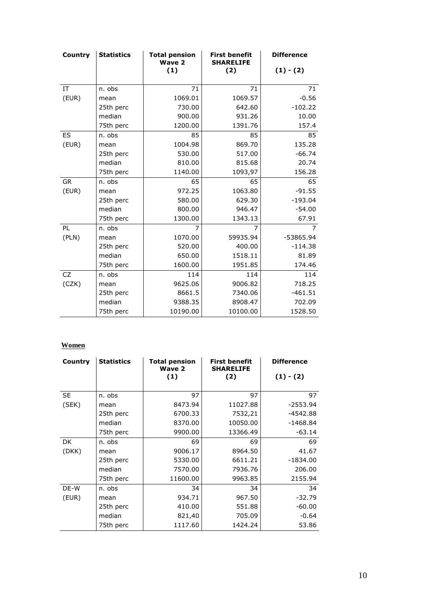| Country   | <b>Statistics</b> | <b>Total pension</b><br><b>Wave 2</b> | <b>First benefit</b><br><b>SHARELIFE</b> | <b>Difference</b> |
|-----------|-------------------|---------------------------------------|------------------------------------------|-------------------|
|           |                   | (1)                                   | (2)                                      | $(1) - (2)$       |
|           |                   |                                       |                                          |                   |
| IT        | n. obs            | 71                                    | 71                                       | 71                |
| (EUR)     | mean              | 1069.01                               | 1069.57                                  | $-0.56$           |
|           | 25th perc         | 730.00                                | 642.60                                   | $-102.22$         |
|           | median            | 900.00                                | 931.26                                   | 10.00             |
|           | 75th perc         | 1200.00                               | 1391.76                                  | 157.4             |
| ES        | n. obs            | 85                                    | 85                                       | 85                |
| (EUR)     | mean              | 1004.98                               | 869.70                                   | 135.28            |
|           | 25th perc         | 530.00                                | 517.00                                   | $-66.74$          |
|           | median            | 810.00                                | 815.68                                   | 20.74             |
|           | 75th perc         | 1140.00                               | 1093,97                                  | 156.28            |
| <b>GR</b> | n. obs            | 65                                    | 65                                       | 65                |
| (EUR)     | mean              | 972.25                                | 1063.80                                  | $-91.55$          |
|           | 25th perc         | 580.00                                | 629.30                                   | $-193.04$         |
|           | median            | 800.00                                | 946.47                                   | $-54.00$          |
|           | 75th perc         | 1300.00                               | 1343.13                                  | 67.91             |
| PL        | n. obs            | 7                                     | 7                                        | $\overline{7}$    |
| (PLN)     | mean              | 1070.00                               | 59935.94                                 | $-53865.94$       |
|           | 25th perc         | 520.00                                | 400.00                                   | $-114.38$         |
|           | median            | 650.00                                | 1518.11                                  | 81.89             |
|           | 75th perc         | 1600.00                               | 1951.85                                  | 174.46            |
| CZ        | n. obs            | 114                                   | 114                                      | 114               |
| (CZK)     | mean              | 9625.06                               | 9006.82                                  | 718.25            |
|           | 25th perc         | 8661.5                                | 7340.06                                  | $-461.51$         |
|           | median            | 9388.35                               | 8908.47                                  | 702.09            |
|           | 75th perc         | 10190.00                              | 10100.00                                 | 1528.50           |

| Country   | <b>Statistics</b> | <b>Total pension</b><br>Wave 2 | <b>First benefit</b><br><b>SHARELIFE</b> | <b>Difference</b> |
|-----------|-------------------|--------------------------------|------------------------------------------|-------------------|
|           |                   | (1)                            | (2)                                      | $(1) - (2)$       |
| <b>SE</b> | n. obs            | 97                             | 97                                       | 97                |
| (SEK)     | mean              | 8473.94                        | 11027.88                                 | $-2553.94$        |
|           | 25th perc         | 6700.33                        | 7532,21                                  | $-4542.88$        |
|           | median            | 8370.00                        | 10050.00                                 | $-1468.84$        |
|           | 75th perc         | 9900.00                        | 13366.49                                 | $-63.14$          |
| DK        | n. obs            | 69                             | 69                                       | 69                |
| (DKK)     | mean              | 9006.17                        | 8964.50                                  | 41.67             |
|           | 25th perc         | 5330.00                        | 6611.21                                  | $-1834.00$        |
|           | median            | 7570.00                        | 7936.76                                  | 206.00            |
|           | 75th perc         | 11600.00                       | 9963.85                                  | 2155.94           |
| DE-W      | n. obs            | 34                             | 34                                       | 34                |
| (EUR)     | mean              | 934.71                         | 967.50                                   | $-32.79$          |
|           | 25th perc         | 410.00                         | 551.88                                   | $-60.00$          |
|           | median            | 821,40                         | 705.09                                   | $-0.64$           |
|           | 75th perc         | 1117.60                        | 1424.24                                  | 53.86             |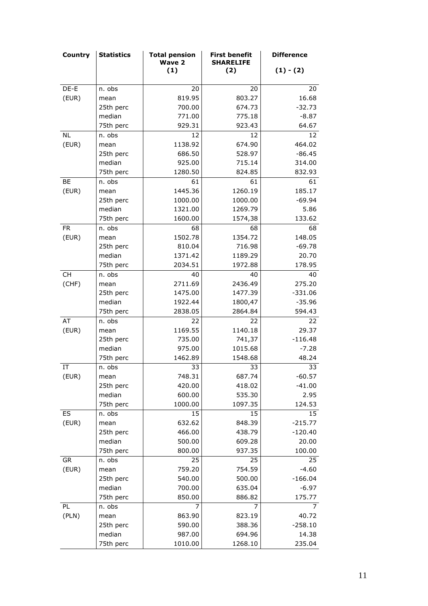| <b>Country</b> | <b>Statistics</b> | <b>Total pension</b><br><b>Wave 2</b> | <b>First benefit</b><br><b>SHARELIFE</b> | <b>Difference</b> |
|----------------|-------------------|---------------------------------------|------------------------------------------|-------------------|
|                |                   | (1)                                   | (2)                                      | $(1) - (2)$       |
| DE-E           | n. obs            | 20                                    | 20                                       | 20                |
| (EUR)          |                   | 819.95                                | 803.27                                   | 16.68             |
|                | mean<br>25th perc | 700.00                                | 674.73                                   | $-32.73$          |
|                | median            | 771.00                                | 775.18                                   | $-8.87$           |
|                | 75th perc         |                                       |                                          |                   |
|                |                   | 929.31                                | 923.43                                   | 64.67             |
| NL.            | n. obs            | 12                                    | 12                                       | 12                |
| (EUR)          | mean              | 1138.92                               | 674.90                                   | 464.02            |
|                | 25th perc         | 686.50                                | 528.97                                   | $-86.45$          |
|                | median            | 925.00                                | 715.14                                   | 314.00            |
|                | 75th perc         | 1280.50                               | 824.85                                   | 832.93            |
| BE             | n. obs            | 61                                    | 61                                       | 61                |
| (EUR)          | mean              | 1445.36                               | 1260.19                                  | 185.17            |
|                | 25th perc         | 1000.00                               | 1000.00                                  | $-69.94$          |
|                | median            | 1321.00                               | 1269.79                                  | 5.86              |
|                | 75th perc         | 1600.00                               | 1574,38                                  | 133.62            |
| <b>FR</b>      | n. obs            | 68                                    | 68                                       | 68                |
| (EUR)          | mean              | 1502.78                               | 1354.72                                  | 148.05            |
|                | 25th perc         | 810.04                                | 716.98                                   | $-69.78$          |
|                | median            | 1371.42                               | 1189.29                                  | 20.70             |
|                | 75th perc         | 2034.51                               | 1972.88                                  | 178.95            |
| CH             | n. obs            | 40                                    | 40                                       | 40                |
| (CHF)          | mean              | 2711.69                               | 2436.49                                  | 275.20            |
|                | 25th perc         | 1475.00                               | 1477.39                                  | $-331.06$         |
|                | median            | 1922.44                               | 1800,47                                  | $-35.96$          |
|                | 75th perc         | 2838.05                               | 2864.84                                  | 594.43            |
| AT             | n. obs            | 22                                    | 22                                       | 22                |
| (EUR)          | mean              | 1169.55                               | 1140.18                                  | 29.37             |
|                | 25th perc         | 735.00                                | 741,37                                   | $-116.48$         |
|                | median            | 975.00                                | 1015.68                                  | $-7.28$           |
|                | 75th perc         | 1462.89                               | 1548.68                                  | 48.24             |
| IT             | n. obs            | 33                                    | 33                                       | 33                |
| (EUR)          | mean              | 748.31                                | 687.74                                   | $-60.57$          |
|                | 25th perc         | 420.00                                | 418.02                                   | $-41.00$          |
|                | median            | 600.00                                | 535.30                                   | 2.95              |
|                | 75th perc         | 1000.00                               | 1097.35                                  | 124.53            |
| ES             | n. obs            | 15                                    | 15                                       | 15                |
| (EUR)          | mean              | 632.62                                | 848.39                                   | $-215.77$         |
|                | 25th perc         | 466.00                                | 438.79                                   | $-120.40$         |
|                | median            | 500.00                                | 609.28                                   | 20.00             |
|                | 75th perc         | 800.00                                | 937.35                                   | 100.00            |
| GR             | n. obs            | 25                                    | 25                                       | 25                |
| (EUR)          | mean              | 759.20                                | 754.59                                   | $-4.60$           |
|                | 25th perc         | 540.00                                | 500.00                                   | $-166.04$         |
|                | median            | 700.00                                | 635.04                                   | $-6.97$           |
|                | 75th perc         | 850.00                                | 886.82                                   | 175.77            |
| PL             | n. obs            | 7                                     | 7                                        | 7                 |
| (PLN)          | mean              | 863.90                                | 823.19                                   | 40.72             |
|                | 25th perc         | 590.00                                | 388.36                                   | $-258.10$         |
|                | median            | 987.00                                | 694.96                                   | 14.38             |
|                | 75th perc         | 1010.00                               | 1268.10                                  | 235.04            |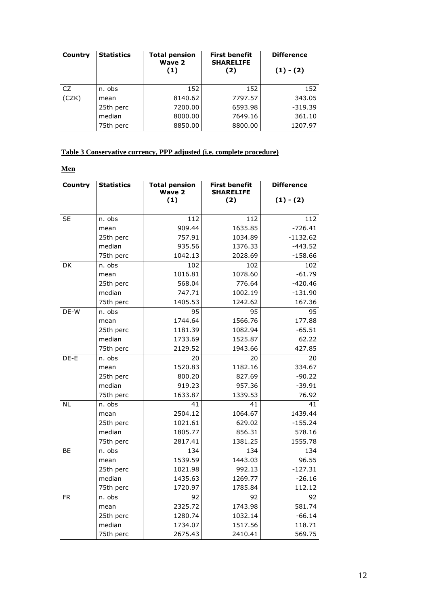| Country | <b>Statistics</b> | <b>Total pension</b><br>Wave 2<br>(1) | <b>First benefit</b><br><b>SHARELIFE</b><br>(2) | <b>Difference</b><br>$(1) - (2)$ |
|---------|-------------------|---------------------------------------|-------------------------------------------------|----------------------------------|
| CZ.     | n. obs            | 152                                   | 152                                             | 152                              |
| (CZK)   | mean              | 8140.62                               | 7797.57                                         | 343.05                           |
|         | 25th perc         | 7200.00                               | 6593.98                                         | $-319.39$                        |
|         | median            | 8000.00                               | 7649.16                                         | 361.10                           |
|         | 75th perc         | 8850.00                               | 8800.00                                         | 1207.97                          |

#### **Table 3 Conservative currency, PPP adjusted (i.e. complete procedure)**

| Country   | <b>Statistics</b> | <b>Total pension</b><br>Wave 2 | <b>First benefit</b><br><b>SHARELIFE</b> | <b>Difference</b> |
|-----------|-------------------|--------------------------------|------------------------------------------|-------------------|
|           |                   | (1)                            | (2)                                      | $(1) - (2)$       |
| <b>SE</b> | n. obs            | 112                            | 112                                      | 112               |
|           | mean              | 909.44                         | 1635.85                                  | $-726.41$         |
|           | 25th perc         | 757.91                         | 1034.89                                  | $-1132.62$        |
|           | median            | 935.56                         | 1376.33                                  | $-443.52$         |
|           | 75th perc         | 1042.13                        | 2028.69                                  | $-158.66$         |
| DK        | n. obs            | 102                            | 102                                      | 102               |
|           | mean              | 1016.81                        | 1078.60                                  | $-61.79$          |
|           | 25th perc         | 568.04                         | 776.64                                   | $-420.46$         |
|           | median            | 747.71                         | 1002.19                                  | $-131.90$         |
|           | 75th perc         | 1405.53                        | 1242.62                                  | 167.36            |
| DE-W      | n. obs            | $\overline{95}$                | $\overline{95}$                          | $\overline{95}$   |
|           | mean              | 1744.64                        | 1566.76                                  | 177.88            |
|           | 25th perc         | 1181.39                        | 1082.94                                  | $-65.51$          |
|           | median            | 1733.69                        | 1525.87                                  | 62.22             |
|           | 75th perc         | 2129.52                        | 1943.66                                  | 427.85            |
| DE-E      | n. obs            | 20                             | 20                                       | 20                |
|           | mean              | 1520.83                        | 1182.16                                  | 334.67            |
|           | 25th perc         | 800.20                         | 827.69                                   | $-90.22$          |
|           | median            | 919.23                         | 957.36                                   | $-39.91$          |
|           | 75th perc         | 1633.87                        | 1339.53                                  | 76.92             |
| <b>NL</b> | n. obs            | 41                             | 41                                       | 41                |
|           | mean              | 2504.12                        | 1064.67                                  | 1439.44           |
|           | 25th perc         | 1021.61                        | 629.02                                   | $-155.24$         |
|           | median            | 1805.77                        | 856.31                                   | 578.16            |
|           | 75th perc         | 2817.41                        | 1381.25                                  | 1555.78           |
| BE        | n. obs            | 134                            | 134                                      | 134               |
|           | mean              | 1539.59                        | 1443.03                                  | 96.55             |
|           | 25th perc         | 1021.98                        | 992.13                                   | $-127.31$         |
|           | median            | 1435.63                        | 1269.77                                  | $-26.16$          |
|           | 75th perc         | 1720.97                        | 1785.84                                  | 112.12            |
| <b>FR</b> | n. obs            | 92                             | 92                                       | 92                |
|           | mean              | 2325.72                        | 1743.98                                  | 581.74            |
|           | 25th perc         | 1280.74                        | 1032.14                                  | $-66.14$          |
|           | median            | 1734.07                        | 1517.56                                  | 118.71            |
|           | 75th perc         | 2675.43                        | 2410.41                                  | 569.75            |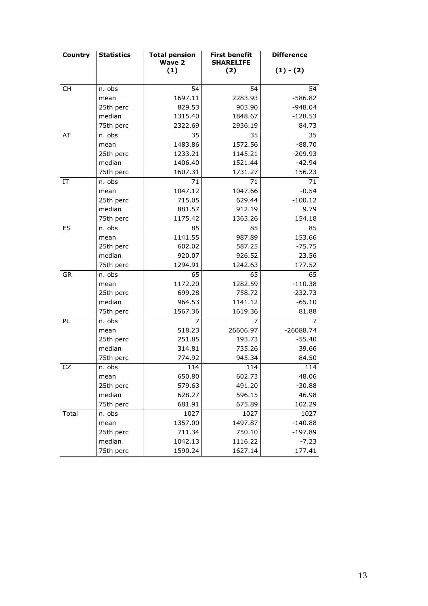| <b>Country</b> | <b>Statistics</b> | <b>Total pension</b><br>Wave 2 | <b>First benefit</b><br><b>SHARELIFE</b> | <b>Difference</b> |
|----------------|-------------------|--------------------------------|------------------------------------------|-------------------|
|                |                   | (1)                            | (2)                                      | $(1) - (2)$       |
| <b>CH</b>      | n. obs            | 54                             | 54                                       | 54                |
|                | mean              | 1697.11                        | 2283.93                                  | $-586.82$         |
|                | 25th perc         | 829.53                         | 903.90                                   | $-948.04$         |
|                | median            | 1315.40                        | 1848.67                                  | $-128.53$         |
|                | 75th perc         | 2322.69                        | 2936.19                                  | 84.73             |
| AT             | n. obs            | 35                             | 35                                       | 35                |
|                | mean              | 1483.86                        | 1572.56                                  | $-88.70$          |
|                | 25th perc         | 1233.21                        | 1145.21                                  | $-209.93$         |
|                | median            | 1406.40                        | 1521.44                                  | $-42.94$          |
|                | 75th perc         | 1607.31                        | 1731.27                                  | 156.23            |
| IT             | n. obs            | 71                             | 71                                       | 71                |
|                | mean              | 1047.12                        | 1047.66                                  | $-0.54$           |
|                | 25th perc         | 715.05                         | 629.44                                   | $-100.12$         |
|                | median            | 881.57                         | 912.19                                   | 9.79              |
|                | 75th perc         | 1175.42                        | 1363.26                                  | 154.18            |
| ES             | n. obs            | 85                             | 85                                       | 85                |
|                | mean              | 1141.55                        | 987.89                                   | 153.66            |
|                | 25th perc         | 602.02                         | 587.25                                   | $-75.75$          |
|                | median            | 920.07                         | 926.52                                   | 23.56             |
|                | 75th perc         | 1294.91                        | 1242.63                                  | 177.52            |
| <b>GR</b>      | n. obs            | 65                             | 65                                       | 65                |
|                | mean              | 1172.20                        | 1282.59                                  | $-110.38$         |
|                | 25th perc         | 699.28                         | 758.72                                   | $-232.73$         |
|                | median            | 964.53                         | 1141.12                                  | $-65.10$          |
|                | 75th perc         | 1567.36                        | 1619.36                                  | 81.88             |
| PL             | n. obs            | 7                              | 7                                        | 7                 |
|                | mean              | 518.23                         | 26606.97                                 | $-26088.74$       |
|                | 25th perc         | 251.85                         | 193.73                                   | $-55.40$          |
|                | median            | 314.81                         | 735.26                                   | 39.66             |
|                | 75th perc         | 774.92                         | 945.34                                   | 84.50             |
| <b>CZ</b>      | n. obs            | 114                            | 114                                      | 114               |
|                | mean              | 650.80                         | 602.73                                   | 48.06             |
|                | 25th perc         | 579.63                         | 491.20                                   | $-30.88$          |
|                | median            | 628.27                         | 596.15                                   | 46.98             |
|                | 75th perc         | 681.91                         | 675.89                                   | 102.29            |
| Total          | n. obs            | 1027                           | 1027                                     | 1027              |
|                | mean              | 1357.00                        | 1497.87                                  | $-140.88$         |
|                | 25th perc         | 711.34                         | 750.10                                   | $-197.89$         |
|                | median            | 1042.13                        | 1116.22                                  | $-7.23$           |
|                | 75th perc         | 1590.24                        | 1627.14                                  | 177.41            |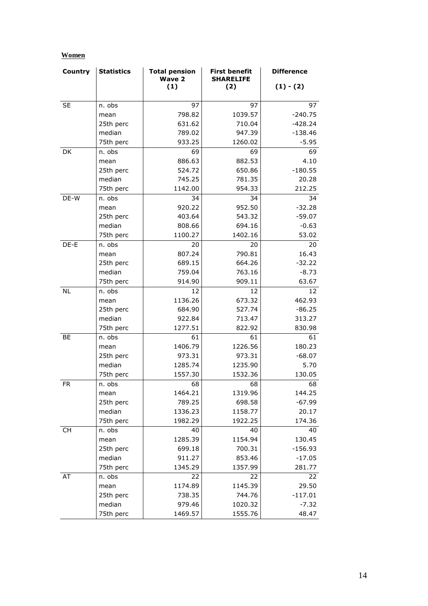| Country   | <b>Statistics</b> | <b>Total pension</b><br><b>Wave 2</b> | <b>First benefit</b><br><b>SHARELIFE</b> | <b>Difference</b> |
|-----------|-------------------|---------------------------------------|------------------------------------------|-------------------|
|           |                   | (1)                                   | (2)                                      | $(1) - (2)$       |
| <b>SE</b> | n. obs            | 97                                    | 97                                       | 97                |
|           | mean              | 798.82                                | 1039.57                                  | $-240.75$         |
|           | 25th perc         | 631.62                                | 710.04                                   | $-428.24$         |
|           | median            | 789.02                                | 947.39                                   | $-138.46$         |
|           | 75th perc         | 933.25                                | 1260.02                                  | $-5.95$           |
| DK        | n. obs            | 69                                    | 69                                       | 69                |
|           | mean              | 886.63                                | 882.53                                   | 4.10              |
|           | 25th perc         | 524.72                                | 650.86                                   | $-180.55$         |
|           | median            | 745.25                                | 781.35                                   | 20.28             |
|           | 75th perc         | 1142.00                               | 954.33                                   | 212.25            |
| DE-W      | n. obs            | 34                                    | 34                                       | 34                |
|           | mean              | 920.22                                | 952.50                                   | $-32.28$          |
|           | 25th perc         | 403.64                                | 543.32                                   | $-59.07$          |
|           | median            | 808.66                                | 694.16                                   | $-0.63$           |
|           | 75th perc         | 1100.27                               | 1402.16                                  | 53.02             |
| DE-E      | n. obs            | 20                                    | 20                                       | 20                |
|           | mean              | 807.24                                | 790.81                                   | 16.43             |
|           | 25th perc         | 689.15                                | 664.26                                   | $-32.22$          |
|           | median            | 759.04                                | 763.16                                   | $-8.73$           |
|           | 75th perc         | 914.90                                | 909.11                                   | 63.67             |
| <b>NL</b> | n. obs            | 12                                    | 12                                       | 12                |
|           | mean              | 1136.26                               | 673.32                                   | 462.93            |
|           | 25th perc         | 684.90                                | 527.74                                   | $-86.25$          |
|           | median            | 922.84                                | 713.47                                   | 313.27            |
|           | 75th perc         | 1277.51                               | 822.92                                   | 830.98            |
| BE        | n. obs            | 61                                    | 61                                       | 61                |
|           | mean              | 1406.79                               | 1226.56                                  | 180.23            |
|           | 25th perc         | 973.31                                | 973.31                                   | $-68.07$          |
|           | median            | 1285.74                               | 1235.90                                  | 5.70              |
|           | 75th perc         | 1557.30                               | 1532.36                                  | 130.05            |
| <b>FR</b> | n. obs            | 68                                    | 68                                       | 68                |
|           | mean              | 1464.21                               | 1319.96                                  | 144.25            |
|           | 25th perc         | 789.25                                | 698.58                                   | $-67.99$          |
|           | median            | 1336.23                               | 1158.77                                  | 20.17             |
|           | 75th perc         | 1982.29                               | 1922.25                                  | 174.36            |
| CH        | n. obs            | 40                                    | 40                                       | 40                |
|           | mean              | 1285.39                               | 1154.94                                  | 130.45            |
|           | 25th perc         | 699.18                                | 700.31                                   | $-156.93$         |
|           | median            | 911.27                                | 853.46                                   | $-17.05$          |
|           | 75th perc         | 1345.29                               | 1357.99                                  | 281.77            |
| AT        | n. obs            | 22                                    | 22                                       | 22                |
|           | mean              | 1174.89                               | 1145.39                                  | 29.50             |
|           | 25th perc         | 738.35                                | 744.76                                   | $-117.01$         |
|           | median            | 979.46                                | 1020.32                                  | $-7.32$           |
|           | 75th perc         | 1469.57                               | 1555.76                                  | 48.47             |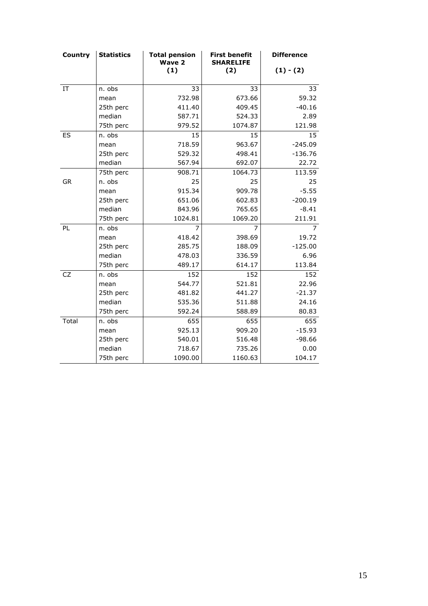| Country   | <b>Statistics</b> | <b>Total pension</b><br><b>Wave 2</b> | <b>First benefit</b><br><b>SHARELIFE</b> | <b>Difference</b> |
|-----------|-------------------|---------------------------------------|------------------------------------------|-------------------|
|           |                   | (1)                                   | (2)                                      | $(1) - (2)$       |
| IT        | n. obs            | 33                                    | 33                                       | 33                |
|           | mean              | 732.98                                | 673.66                                   | 59.32             |
|           | 25th perc         | 411.40                                | 409.45                                   | $-40.16$          |
|           | median            | 587.71                                | 524.33                                   | 2.89              |
|           | 75th perc         | 979.52                                | 1074.87                                  | 121.98            |
| ES        | n. obs            | 15                                    | 15                                       | 15                |
|           | mean              | 718.59                                | 963.67                                   | $-245.09$         |
|           | 25th perc         | 529.32                                | 498.41                                   | $-136.76$         |
|           | median            | 567.94                                | 692.07                                   | 22.72             |
|           | 75th perc         | 908.71                                | 1064.73                                  | 113.59            |
| <b>GR</b> | n. obs            | 25                                    | 25                                       | 25                |
|           | mean              | 915.34                                | 909.78                                   | $-5.55$           |
|           | 25th perc         | 651.06                                | 602.83                                   | $-200.19$         |
|           | median            | 843.96                                | 765.65                                   | $-8.41$           |
|           | 75th perc         | 1024.81                               | 1069.20                                  | 211.91            |
| PL        | n. obs            | 7                                     | 7                                        | $\overline{7}$    |
|           | mean              | 418.42                                | 398.69                                   | 19.72             |
|           | 25th perc         | 285.75                                | 188.09                                   | $-125.00$         |
|           | median            | 478.03                                | 336.59                                   | 6.96              |
|           | 75th perc         | 489.17                                | 614.17                                   | 113.84            |
| <b>CZ</b> | n. obs            | 152                                   | 152                                      | 152               |
|           | mean              | 544.77                                | 521.81                                   | 22.96             |
|           | 25th perc         | 481.82                                | 441.27                                   | $-21.37$          |
|           | median            | 535.36                                | 511.88                                   | 24.16             |
|           | 75th perc         | 592.24                                | 588.89                                   | 80.83             |
| Total     | n. obs            | 655                                   | 655                                      | 655               |
|           | mean              | 925.13                                | 909.20                                   | $-15.93$          |
|           | 25th perc         | 540.01                                | 516.48                                   | $-98.66$          |
|           | median            | 718.67                                | 735.26                                   | 0.00              |
|           | 75th perc         | 1090.00                               | 1160.63                                  | 104.17            |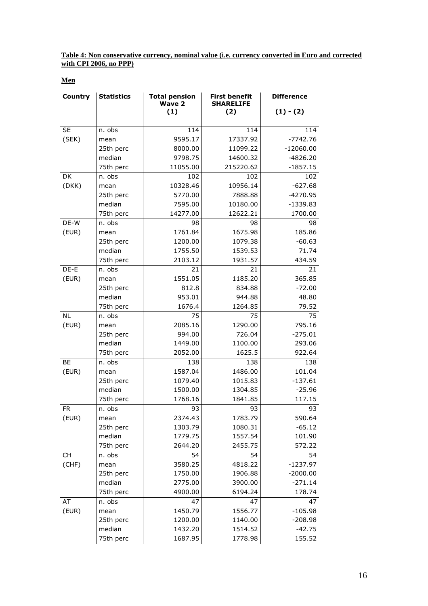**Table 4: Non conservative currency, nominal value (i.e. currency converted in Euro and corrected with CPI 2006, no PPP)**

**Men**

| Country   | <b>Statistics</b> | <b>Total pension</b><br><b>Wave 2</b> | <b>First benefit</b><br><b>SHARELIFE</b> | <b>Difference</b> |
|-----------|-------------------|---------------------------------------|------------------------------------------|-------------------|
|           |                   | (1)                                   | (2)                                      | $(1) - (2)$       |
| <b>SE</b> | n. obs            | 114                                   | 114                                      | 114               |
| (SEK)     | mean              | 9595.17                               | 17337.92                                 | $-7742.76$        |
|           | 25th perc         | 8000.00                               | 11099.22                                 | $-12060.00$       |
|           | median            | 9798.75                               | 14600.32                                 | $-4826.20$        |
|           | 75th perc         | 11055.00                              | 215220.62                                | $-1857.15$        |
| DK        | n. obs            | 102                                   | 102                                      | 102               |
| (DKK)     | mean              | 10328.46                              | 10956.14                                 | $-627.68$         |
|           | 25th perc         | 5770.00                               | 7888.88                                  | $-4270.95$        |
|           | median            | 7595.00                               | 10180.00                                 | $-1339.83$        |
|           | 75th perc         | 14277.00                              | 12622.21                                 | 1700.00           |
| DE-W      | n. obs            | 98                                    | 98                                       | 98                |
| (EUR)     | mean              | 1761.84                               | 1675.98                                  | 185.86            |
|           | 25th perc         | 1200.00                               | 1079.38                                  | $-60.63$          |
|           | median            | 1755.50                               | 1539.53                                  | 71.74             |
|           | 75th perc         | 2103.12                               | 1931.57                                  | 434.59            |
| DE-E      | n. obs            | 21                                    | 21                                       | 21                |
| (EUR)     | mean              | 1551.05                               | 1185.20                                  | 365.85            |
|           | 25th perc         | 812.8                                 | 834.88                                   | $-72.00$          |
|           | median            | 953.01                                | 944.88                                   | 48.80             |
|           | 75th perc         | 1676.4                                | 1264.85                                  | 79.52             |
| <b>NL</b> | n. obs            | 75                                    | 75                                       | 75                |
| (EUR)     | mean              | 2085.16                               | 1290.00                                  | 795.16            |
|           | 25th perc         | 994.00                                | 726.04                                   | $-275.01$         |
|           | median            | 1449.00                               | 1100.00                                  | 293.06            |
|           | 75th perc         | 2052.00                               | 1625.5                                   | 922.64            |
| <b>BE</b> | n. obs            | 138                                   | 138                                      | 138               |
| (EUR)     | mean              | 1587.04                               | 1486.00                                  | 101.04            |
|           | 25th perc         | 1079.40                               | 1015.83                                  | $-137.61$         |
|           | median            | 1500.00                               | 1304.85                                  | $-25.96$          |
|           | 75th perc         | 1768.16                               | 1841.85                                  | 117.15            |
| FR        | n. obs            | 93                                    | 93                                       | 93                |
| (EUR)     | mean              | 2374.43                               | 1783.79                                  | 590.64            |
|           | 25th perc         | 1303.79                               | 1080.31                                  | $-65.12$          |
|           | median            | 1779.75                               | 1557.54                                  | 101.90            |
|           | 75th perc         | 2644.20                               | 2455.75                                  | 572.22            |
| CH        | n. obs            | 54                                    | 54                                       | 54                |
| (CHF)     | mean              | 3580.25                               | 4818.22                                  | -1237.97          |
|           | 25th perc         | 1750.00                               | 1906.88                                  | $-2000.00$        |
|           | median            | 2775.00                               | 3900.00                                  | $-271.14$         |
|           | 75th perc         | 4900.00                               | 6194.24                                  | 178.74            |
| AT        | n. obs            | 47                                    | 47                                       | 47                |
| (EUR)     | mean              | 1450.79                               | 1556.77                                  | $-105.98$         |
|           | 25th perc         | 1200.00                               | 1140.00                                  | $-208.98$         |
|           | median            | 1432.20                               | 1514.52                                  | $-42.75$          |
|           | 75th perc         | 1687.95                               | 1778.98                                  | 155.52            |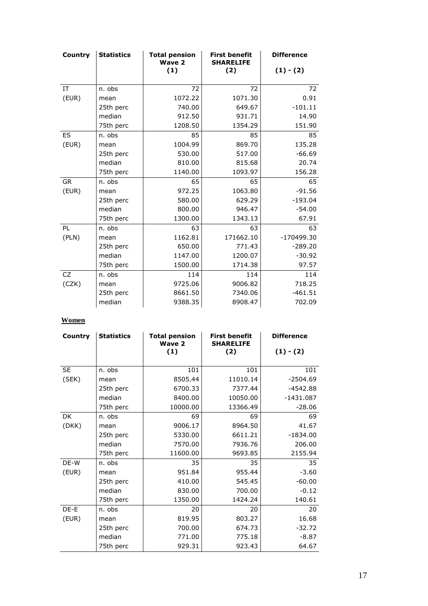| Country   | <b>Statistics</b> | <b>Total pension</b><br><b>Wave 2</b> | <b>First benefit</b><br><b>SHARELIFE</b> | <b>Difference</b> |
|-----------|-------------------|---------------------------------------|------------------------------------------|-------------------|
|           |                   | (1)                                   | (2)                                      | $(1) - (2)$       |
|           |                   |                                       |                                          |                   |
| IT        | n. obs            | 72                                    | 72                                       | 72                |
| (EUR)     | mean              | 1072.22                               | 1071.30                                  | 0.91              |
|           | 25th perc         | 740.00                                | 649.67                                   | $-101.11$         |
|           | median            | 912.50                                | 931.71                                   | 14.90             |
|           | 75th perc         | 1208.50                               | 1354.29                                  | 151.90            |
| ES        | n. obs            | 85                                    | 85                                       | 85                |
| (EUR)     | mean              | 1004.99                               | 869.70                                   | 135.28            |
|           | 25th perc         | 530.00                                | 517.00                                   | $-66.69$          |
|           | median            | 810.00                                | 815.68                                   | 20.74             |
|           | 75th perc         | 1140.00                               | 1093.97                                  | 156.28            |
| <b>GR</b> | n. obs            | 65                                    | 65                                       | 65                |
| (EUR)     | mean              | 972.25                                | 1063.80                                  | $-91.56$          |
|           | 25th perc         | 580.00                                | 629.29                                   | $-193.04$         |
|           | median            | 800.00                                | 946.47                                   | $-54.00$          |
|           | 75th perc         | 1300.00                               | 1343.13                                  | 67.91             |
| PL        | n. obs            | 63                                    | 63                                       | 63                |
| (PLN)     | mean              | 1162.81                               | 171662.10                                | -170499.30        |
|           | 25th perc         | 650.00                                | 771.43                                   | $-289.20$         |
|           | median            | 1147.00                               | 1200.07                                  | $-30.92$          |
|           | 75th perc         | 1500.00                               | 1714.38                                  | 97.57             |
| <b>CZ</b> | n. obs            | 114                                   | 114                                      | 114               |
| (CZK)     | mean              | 9725.06                               | 9006.82                                  | 718.25            |
|           | 25th perc         | 8661.50                               | 7340.06                                  | $-461.51$         |
|           | median            | 9388.35                               | 8908.47                                  | 702.09            |

| Country   | <b>Statistics</b> | <b>Total pension</b><br><b>Wave 2</b> | <b>First benefit</b><br><b>SHARELIFE</b> | <b>Difference</b> |
|-----------|-------------------|---------------------------------------|------------------------------------------|-------------------|
|           |                   | (1)                                   | (2)                                      | $(1) - (2)$       |
|           |                   |                                       |                                          |                   |
| <b>SE</b> | n. obs            | 101                                   | 101                                      | 101               |
| (SEK)     | mean              | 8505.44                               | 11010.14                                 | $-2504.69$        |
|           | 25th perc         | 6700.33                               | 7377.44                                  | $-4542.88$        |
|           | median            | 8400.00                               | 10050.00                                 | $-1431.087$       |
|           | 75th perc         | 10000.00                              | 13366.49                                 | $-28.06$          |
| <b>DK</b> | n. obs            | 69                                    | 69                                       | 69                |
| (DKK)     | mean              | 9006.17                               | 8964.50                                  | 41.67             |
|           | 25th perc         | 5330.00                               | 6611.21                                  | $-1834.00$        |
|           | median            | 7570.00                               | 7936.76                                  | 206.00            |
|           | 75th perc         | 11600.00                              | 9693.85                                  | 2155.94           |
| DE-W      | n. obs            | 35                                    | 35                                       | 35                |
| (EUR)     | mean              | 951.84                                | 955.44                                   | $-3.60$           |
|           | 25th perc         | 410.00                                | 545.45                                   | $-60.00$          |
|           | median            | 830.00                                | 700.00                                   | $-0.12$           |
|           | 75th perc         | 1350.00                               | 1424.24                                  | 140.61            |
| DE-E      | n. obs            | 20                                    | 20                                       | 20                |
| (EUR)     | mean              | 819.95                                | 803.27                                   | 16.68             |
|           | 25th perc         | 700.00                                | 674.73                                   | $-32.72$          |
|           | median            | 771.00                                | 775.18                                   | $-8.87$           |
|           | 75th perc         | 929.31                                | 923.43                                   | 64.67             |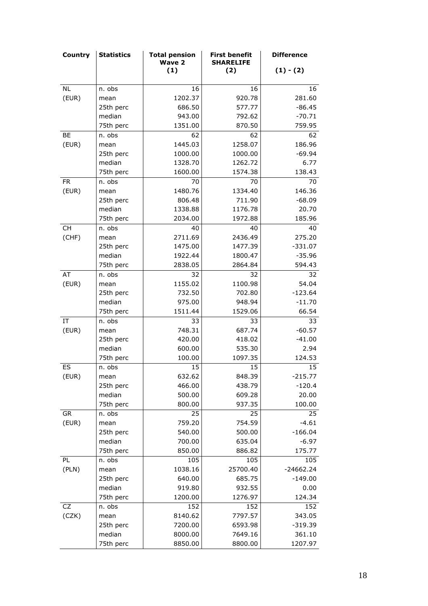| <b>Country</b>             | <b>Statistics</b>   | <b>Total pension</b><br><b>Wave 2</b> | <b>First benefit</b><br><b>SHARELIFE</b> | <b>Difference</b> |
|----------------------------|---------------------|---------------------------------------|------------------------------------------|-------------------|
|                            |                     | (1)                                   | (2)                                      | $(1) - (2)$       |
| <b>NL</b>                  | n. obs              | 16                                    | 16                                       | 16                |
| (EUR)                      | mean                | 1202.37                               | 920.78                                   | 281.60            |
|                            | 25th perc           | 686.50                                | 577.77                                   | $-86.45$          |
|                            | median              | 943.00                                | 792.62                                   | $-70.71$          |
|                            | 75th perc           | 1351.00                               | 870.50                                   | 759.95            |
| BE                         | n. obs              | 62                                    | 62                                       | 62                |
| (EUR)                      |                     | 1445.03                               | 1258.07                                  | 186.96            |
|                            | mean<br>25th perc   | 1000.00                               | 1000.00                                  | $-69.94$          |
|                            | median              | 1328.70                               | 1262.72                                  | 6.77              |
|                            |                     |                                       |                                          |                   |
|                            | 75th perc           | 1600.00<br>70                         | 1574.38                                  | 138.43<br>70      |
| <b>FR</b>                  | n. obs              | 1480.76                               | 70<br>1334.40                            | 146.36            |
| (EUR)                      | mean                | 806.48                                | 711.90                                   | $-68.09$          |
|                            | 25th perc<br>median | 1338.88                               | 1176.78                                  | 20.70             |
|                            | 75th perc           | 2034.00                               | 1972.88                                  | 185.96            |
| CH                         | n. obs              | 40                                    | 40                                       | 40                |
| (CHF)                      | mean                | 2711.69                               | 2436.49                                  | 275.20            |
|                            | 25th perc           | 1475.00                               | 1477.39                                  | $-331.07$         |
|                            | median              | 1922.44                               | 1800.47                                  | $-35.96$          |
|                            | 75th perc           | 2838.05                               | 2864.84                                  | 594.43            |
| AT                         | n. obs              | 32                                    | 32                                       | 32                |
| (EUR)                      | mean                | 1155.02                               | 1100.98                                  | 54.04             |
|                            | 25th perc           | 732.50                                | 702.80                                   | $-123.64$         |
|                            | median              | 975.00                                | 948.94                                   | $-11.70$          |
|                            | 75th perc           | 1511.44                               | 1529.06                                  | 66.54             |
| $\ensuremath{\mathsf{IT}}$ | n. obs              | 33                                    | 33                                       | 33                |
| (EUR)                      | mean                | 748.31                                | 687.74                                   | $-60.57$          |
|                            | 25th perc           | 420.00                                | 418.02                                   | $-41.00$          |
|                            | median              | 600.00                                | 535.30                                   | 2.94              |
|                            | 75th perc           | 100.00                                | 1097.35                                  | 124.53            |
| ES                         | n. obs              | 15                                    | 15                                       | 15                |
| (EUR)                      | mean                | 632.62                                | 848.39                                   | $-215.77$         |
|                            | 25th perc           | 466.00                                | 438.79                                   | $-120.4$          |
|                            | median              | 500.00                                | 609.28                                   | 20.00             |
|                            | 75th perc           | 800.00                                | 937.35                                   | 100.00            |
| GR                         | n. obs              | 25                                    | 25                                       | 25                |
| (EUR)                      | mean                | 759.20                                | 754.59                                   | $-4.61$           |
|                            | 25th perc           | 540.00                                | 500.00                                   | $-166.04$         |
|                            | median              | 700.00                                | 635.04                                   | $-6.97$           |
|                            | 75th perc           | 850.00                                | 886.82                                   | 175.77            |
| PL                         | n. obs              | 105                                   | 105                                      | 105               |
| (PLN)                      | mean                | 1038.16                               | 25700.40                                 | $-24662.24$       |
|                            | 25th perc           | 640.00                                | 685.75                                   | $-149.00$         |
|                            | median              | 919.80                                | 932.55                                   | 0.00              |
|                            | 75th perc           | 1200.00                               | 1276.97                                  | 124.34            |
| CZ                         | n. obs              | 152                                   | 152                                      | 152               |
| (CZK)                      | mean                | 8140.62                               | 7797.57                                  | 343.05            |
|                            | 25th perc           | 7200.00                               | 6593.98                                  | $-319.39$         |
|                            | median              | 8000.00                               | 7649.16                                  | 361.10            |
|                            | 75th perc           | 8850.00                               | 8800.00                                  | 1207.97           |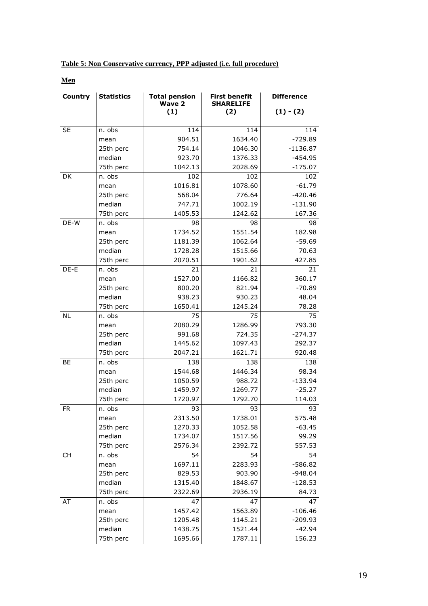| Table 5: Non Conservative currency, PPP adjusted (i.e. full procedure) |
|------------------------------------------------------------------------|
|------------------------------------------------------------------------|

**Men**

| <b>Country</b> | <b>Statistics</b> | <b>Total pension</b><br><b>Wave 2</b> | <b>First benefit</b><br><b>SHARELIFE</b> | <b>Difference</b> |
|----------------|-------------------|---------------------------------------|------------------------------------------|-------------------|
|                |                   | (1)                                   | (2)                                      | $(1) - (2)$       |
| <b>SE</b>      | n. obs            | 114                                   | 114                                      | 114               |
|                | mean              | 904.51                                | 1634.40                                  | -729.89           |
|                | 25th perc         | 754.14                                | 1046.30                                  | $-1136.87$        |
|                | median            | 923.70                                | 1376.33                                  | $-454.95$         |
|                | 75th perc         | 1042.13                               | 2028.69                                  | $-175.07$         |
| DK             | n. obs            | 102                                   | 102                                      | 102               |
|                | mean              | 1016.81                               | 1078.60                                  | $-61.79$          |
|                | 25th perc         | 568.04                                | 776.64                                   | $-420.46$         |
|                | median            | 747.71                                | 1002.19                                  | $-131.90$         |
|                | 75th perc         | 1405.53                               | 1242.62                                  | 167.36            |
| DE-W           | n. obs            | 98                                    | 98                                       | 98                |
|                | mean              | 1734.52                               | 1551.54                                  | 182.98            |
|                | 25th perc         | 1181.39                               | 1062.64                                  | $-59.69$          |
|                | median            | 1728.28                               | 1515.66                                  | 70.63             |
|                | 75th perc         | 2070.51                               | 1901.62                                  | 427.85            |
| DE-E           | n. obs            | 21                                    | 21                                       | 21                |
|                | mean              | 1527.00                               | 1166.82                                  | 360.17            |
|                | 25th perc         | 800.20                                | 821.94                                   | $-70.89$          |
|                | median            | 938.23                                | 930.23                                   | 48.04             |
|                | 75th perc         | 1650.41                               | 1245.24                                  | 78.28             |
| <b>NL</b>      | n. obs            | 75                                    | 75                                       | 75                |
|                | mean              | 2080.29                               | 1286.99                                  | 793.30            |
|                | 25th perc         | 991.68                                | 724.35                                   | $-274.37$         |
|                | median            | 1445.62                               | 1097.43                                  | 292.37            |
|                | 75th perc         | 2047.21                               | 1621.71                                  | 920.48            |
| BE             | n. obs            | 138                                   | 138                                      | 138               |
|                | mean              | 1544.68                               | 1446.34                                  | 98.34             |
|                | 25th perc         | 1050.59                               | 988.72                                   | $-133.94$         |
|                | median            | 1459.97                               | 1269.77                                  | $-25.27$          |
|                | 75th perc         | 1720.97                               | 1792.70                                  | 114.03            |
| FR.            | n. obs            | 93                                    | 93                                       | 93                |
|                | mean              | 2313.50                               | 1738.01                                  | 575.48            |
|                | 25th perc         | 1270.33                               | 1052.58                                  | $-63.45$          |
|                | median            | 1734.07                               | 1517.56                                  | 99.29             |
|                | 75th perc         | 2576.34                               | 2392.72                                  | 557.53            |
| <b>CH</b>      | n. obs            | 54                                    | 54                                       | 54                |
|                | mean              | 1697.11                               | 2283.93                                  | -586.82           |
|                | 25th perc         | 829.53                                | 903.90                                   | $-948.04$         |
|                | median            | 1315.40                               | 1848.67                                  | $-128.53$         |
|                | 75th perc         | 2322.69                               | 2936.19                                  | 84.73             |
| AT             | n. obs            | 47                                    | 47                                       | 47                |
|                | mean              | 1457.42                               | 1563.89                                  | $-106.46$         |
|                | 25th perc         | 1205.48                               | 1145.21                                  | $-209.93$         |
|                | median            | 1438.75                               | 1521.44                                  | $-42.94$          |
|                | 75th perc         | 1695.66                               | 1787.11                                  | 156.23            |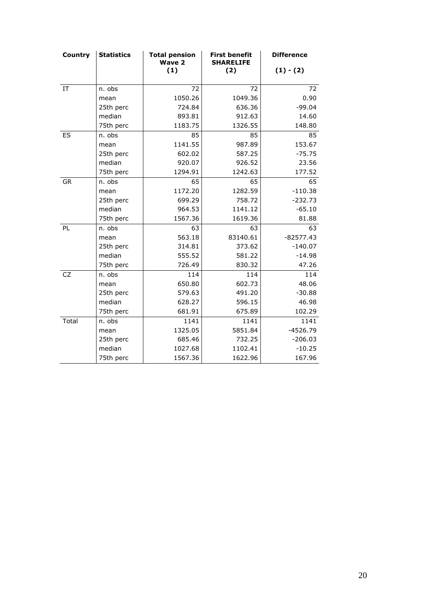| Country   | <b>Statistics</b> | <b>Total pension</b><br><b>Wave 2</b> | <b>First benefit</b><br><b>SHARELIFE</b> | <b>Difference</b> |
|-----------|-------------------|---------------------------------------|------------------------------------------|-------------------|
|           |                   | (1)                                   | (2)                                      | $(1) - (2)$       |
| IT        | n. obs            | 72                                    | 72                                       | 72                |
|           | mean              | 1050.26                               | 1049.36                                  | 0.90              |
|           | 25th perc         | 724.84                                | 636.36                                   | $-99.04$          |
|           | median            | 893.81                                | 912.63                                   | 14.60             |
|           | 75th perc         | 1183.75                               | 1326.55                                  | 148.80            |
| ES        | n. obs            | 85                                    | 85                                       | 85                |
|           | mean              | 1141.55                               | 987.89                                   | 153.67            |
|           | 25th perc         | 602.02                                | 587.25                                   | $-75.75$          |
|           | median            | 920.07                                | 926.52                                   | 23.56             |
|           | 75th perc         | 1294.91                               | 1242.63                                  | 177.52            |
| <b>GR</b> | n. obs            | 65                                    | 65                                       | 65                |
|           | mean              | 1172.20                               | 1282.59                                  | $-110.38$         |
|           | 25th perc         | 699.29                                | 758.72                                   | $-232.73$         |
|           | median            | 964.53                                | 1141.12                                  | $-65.10$          |
|           | 75th perc         | 1567.36                               | 1619.36                                  | 81.88             |
| PL        | n. obs            | 63                                    | 63                                       | 63                |
|           | mean              | 563.18                                | 83140.61                                 | $-82577.43$       |
|           | 25th perc         | 314.81                                | 373.62                                   | $-140.07$         |
|           | median            | 555.52                                | 581.22                                   | $-14.98$          |
|           | 75th perc         | 726.49                                | 830.32                                   | 47.26             |
| <b>CZ</b> | n. obs            | 114                                   | 114                                      | 114               |
|           | mean              | 650.80                                | 602.73                                   | 48.06             |
|           | 25th perc         | 579.63                                | 491.20                                   | $-30.88$          |
|           | median            | 628.27                                | 596.15                                   | 46.98             |
|           | 75th perc         | 681.91                                | 675.89                                   | 102.29            |
| Total     | n. obs            | 1141                                  | 1141                                     | 1141              |
|           | mean              | 1325.05                               | 5851.84                                  | $-4526.79$        |
|           | 25th perc         | 685.46                                | 732.25                                   | $-206.03$         |
|           | median            | 1027.68                               | 1102.41                                  | $-10.25$          |
|           | 75th perc         | 1567.36                               | 1622.96                                  | 167.96            |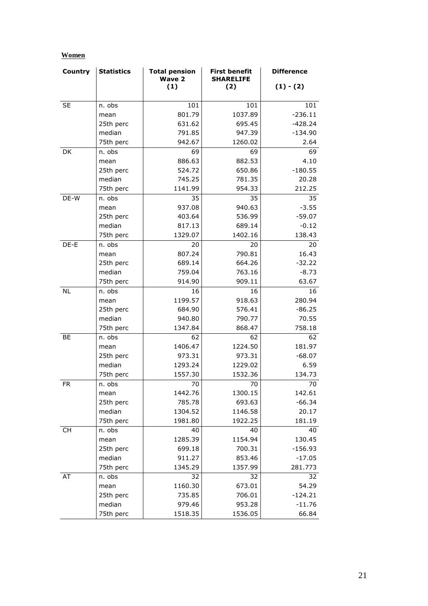| Country   | <b>Statistics</b> | <b>Total pension</b><br><b>Wave 2</b> | <b>First benefit</b><br><b>SHARELIFE</b> | <b>Difference</b> |
|-----------|-------------------|---------------------------------------|------------------------------------------|-------------------|
|           |                   | (1)                                   | (2)                                      | $(1) - (2)$       |
| <b>SE</b> | n. obs            | 101                                   | 101                                      | 101               |
|           | mean              | 801.79                                | 1037.89                                  | $-236.11$         |
|           | 25th perc         | 631.62                                | 695.45                                   | $-428.24$         |
|           | median            | 791.85                                | 947.39                                   | $-134.90$         |
|           | 75th perc         | 942.67                                | 1260.02                                  | 2.64              |
| DK        | n. obs            | 69                                    | 69                                       | 69                |
|           | mean              | 886.63                                | 882.53                                   | 4.10              |
|           | 25th perc         | 524.72                                | 650.86                                   | $-180.55$         |
|           | median            | 745.25                                | 781.35                                   | 20.28             |
|           | 75th perc         | 1141.99                               | 954.33                                   | 212.25            |
| DE-W      | n. obs            | 35                                    | 35                                       | 35                |
|           | mean              | 937.08                                | 940.63                                   | $-3.55$           |
|           | 25th perc         | 403.64                                | 536.99                                   | $-59.07$          |
|           | median            | 817.13                                | 689.14                                   | $-0.12$           |
|           | 75th perc         | 1329.07                               | 1402.16                                  | 138.43            |
| DE-E      | n. obs            | 20                                    | 20                                       | 20                |
|           | mean              | 807.24                                | 790.81                                   | 16.43             |
|           | 25th perc         | 689.14                                | 664.26                                   | $-32.22$          |
|           | median            | 759.04                                | 763.16                                   | $-8.73$           |
|           | 75th perc         | 914.90                                | 909.11                                   | 63.67             |
| <b>NL</b> | n. obs            | 16                                    | 16                                       | 16                |
|           | mean              | 1199.57                               | 918.63                                   | 280.94            |
|           | 25th perc         | 684.90                                | 576.41                                   | $-86.25$          |
|           | median            | 940.80                                | 790.77                                   | 70.55             |
|           | 75th perc         | 1347.84                               | 868.47                                   | 758.18            |
| BE        | n. obs            | 62                                    | 62                                       | 62                |
|           | mean              | 1406.47                               | 1224.50                                  | 181.97            |
|           | 25th perc         | 973.31                                | 973.31                                   | $-68.07$          |
|           | median            | 1293.24                               | 1229.02                                  | 6.59              |
|           | 75th perc         | 1557.30                               | 1532.36                                  | 134.73            |
| <b>FR</b> | n. obs            | 70                                    | 70                                       | 70                |
|           | mean              | 1442.76                               | 1300.15                                  | 142.61            |
|           | 25th perc         | 785.78                                | 693.63                                   | $-66.34$          |
|           | median            | 1304.52                               | 1146.58                                  | 20.17             |
|           | 75th perc         | 1981.80                               | 1922.25                                  | 181.19            |
| CH        | n. obs            | 40                                    | 40                                       | 40                |
|           | mean              | 1285.39                               | 1154.94                                  | 130.45            |
|           | 25th perc         | 699.18                                | 700.31                                   | $-156.93$         |
|           | median            | 911.27                                | 853.46                                   | $-17.05$          |
|           | 75th perc         | 1345.29                               | 1357.99                                  | 281.773           |
| AT        | n. obs            | 32                                    | 32                                       | 32                |
|           | mean              | 1160.30                               | 673.01                                   | 54.29             |
|           | 25th perc         | 735.85                                | 706.01                                   | $-124.21$         |
|           | median            | 979.46                                | 953.28                                   | $-11.76$          |
|           | 75th perc         | 1518.35                               | 1536.05                                  | 66.84             |